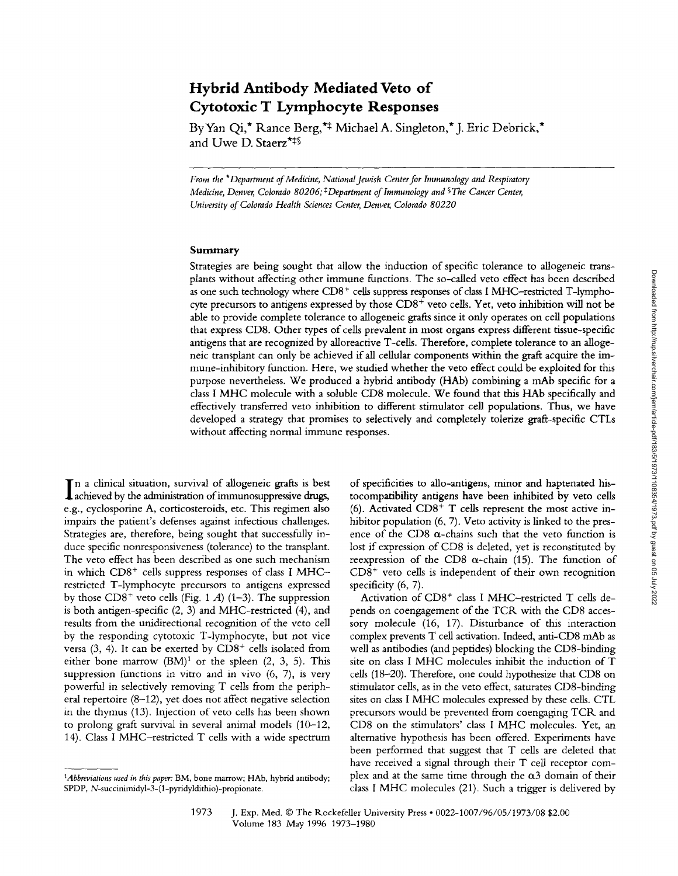# **Hybrid Antibody Mediated Veto of Cytotoxic T Lymphocyte Responses**

ByYan Qi,\* Rance Berg,\*\* Michael A. Singleton,\* J. Eric Debrick,\* and Uwe D. Staerz\*<sup>\*\*</sup>

*From the \*Department of Medicine, National Jewish Center for Immunology and Respiratory Medicine, Denver, Colorado 80206; <sup>‡</sup>Department of Immunology and <sup>§</sup>The Cancer Center, University of Colorado Health Sciences Center, Denver, Colorado 80220* 

## **Summary**

Strategies are being sought that allow the induction of specific tolerance to allogeneic transplants without affecting other immune functions. The so-called veto effect has been described as one such technology where  $CD8<sup>+</sup>$  cells suppress responses of class I MHC-restricted T-lymphocyte precursors to antigens expressed by those CD8<sup>+</sup> veto cells. Yet, veto inhibition will not be able to provide complete tolerance to allogeneic grafts since it only operates on cell populations that express CD8. Other types of cells prevalent in most organs express different tissue-specific antigens that are recognized by alloreactive T-cells. Therefore, complete tolerance to an allogeneic transplant can only be achieved if all cellular components within the graft acquire the immune-inhibitory function. Here, we studied whether the veto effect could be exploited for this purpose nevertheless. We produced a hybrid antibody (HAb) combining a mAb specific for a class I MHC molecule with a soluble CD8 molecule. We found that this HAb specifically and effectively transferred veto inhibition to different stimulator cell populations. Thus, we have developed a strategy that promises to selectively and completely tolerize graft-specific CTLs without affecting normal immune responses.

In a clinical situation, survival of allogeneic grafts is best achieved by the administration of immunosuppressive drugs, e.g., cyclosporine A, corticosteroids, etc. This regimen also impairs the patient's defenses against infectious challenges. Strategies are, therefore, being sought that successfully induce specific nonresponsiveness (tolerance) to the transplant. The veto effect has been described as one such mechanism in which  $CD8<sup>+</sup>$  cells suppress responses of class I MHCrestricted T-lymphocyte precursors to antigens expressed by those  $CD8^+$  veto cells (Fig. 1 A) (1-3). The suppression is both antigen-specific (2, 3) and MHC-restricted (4), and results from the unidirectional recognition of the veto cell by the responding cytotoxic T-lymphocyte, but not vice versa  $(3, 4)$ . It can be exerted by  $CD8<sup>+</sup>$  cells isolated from either bone marrow  $(BM)^1$  or the spleen  $(2, 3, 5)$ . This suppression functions in vitro and in vivo (6, 7), is very powerful in selectively removing T cells from the peripheral repertoire (8-12), yet does not affect negative selection in the thymus (13). Injection of veto cells has been shown to prolong graft survival in several animal models (10-12, 14). Class I MHC-restricted T cells with a wide spectrum

of specificities to allo-antigens, minor and haptenated histocompatibility antigens have been inhibited by veto cells (6). Activated  $CD8<sup>+</sup>$  T cells represent the most active inhibitor population (6, 7). Veto activity is linked to the presence of the CD8  $\alpha$ -chains such that the veto function is lost if expression of CD8 is deleted, yet is reconstituted by reexpression of the CD8  $\alpha$ -chain (15). The function of  $CD8<sup>+</sup>$  veto cells is independent of their own recognition specificity  $(6, 7)$ .

Activation of CD8<sup>+</sup> class I MHC-restricted T cells depends on coengagement of the TCR with the CD8 accessory molecule (16, 17). Disturbance of this interaction complex prevents T cell activation. Indeed, anti-CD8 mAb as well as antibodies (and peptides) blocking the CD8-binding site on class I MHC molecules inhibit the induction of T cells (18-20). Therefore, one could hypothesize that CD8 on stimulator cells, as in the veto effect, saturates CD8-binding sites on class I MHC molecules expressed by these cells. CTL precursors would be prevented from coengaging TCR. and CD8 on the stimulators' class I MHC molecules. Yet, an alternative hypothesis has been offered. Experiments have been performed that suggest that T cells are deleted that have received a signal through their T cell receptor complex and at the same time through the  $\alpha$ 3 domain of their class I MHC molecules (21). Such a trigger is delivered by

*<sup>\*</sup>Abbreviations used in this paper:* BM, bone marrow; HAb, hybrid antibody; SPDP, N-succinirnidyl-3- (1-pyridyldithio)-propionate.

<sup>1973</sup> J. Exp. Med. © The Rockefeller University Press • 0022-1007/96/05/1973/08 \$2.00 Volume 183 May 1996 1973-1980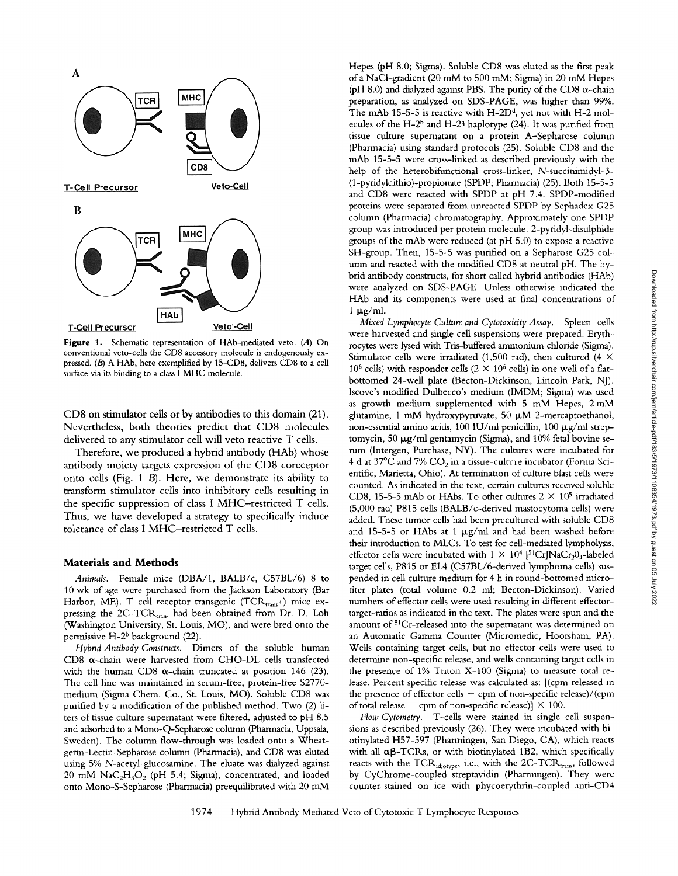

**Figure** 1. Schematic representation of HAb-mediated veto. (A) On conventional veto-cells the CD8 accessory molecule is endogenously expressed. (B) A HAb, here exemplified by 15-CD8, delivers CD8 to a cell surface via its binding to a class I MHC molecule.

CD8 on stimulator cells or by antibodies to this domain (21). Nevertheless, both theories predict that CD8 molecules delivered to any stimulator cell will veto reactive T cells.

Therefore, we produced a hybrid antibody (HAb) whose antibody moiety targets expression of the CD8 coreceptor onto cells (Fig. 1 B). Here, we demonstrate its ability to transform stimulator cells into inhibitory cells resulting in the specific suppression of class I MHC-restricted T cells. Thus, we have developed a strategy to specifically induce tolerance of class I MHC-restricted T cells.

#### **Materials and Methods**

*Animals.* Female mice (DBA/1, BALB/c, C57BL/6) 8 to 10 wk of age were purchased from the Jackson Laboratory (Bar Harbor, ME). T cell receptor transgenic (TCR $_{\text{trans}}$ +) mice expressing the 2C-TCRtrans had been obtained from Dr. D. Loh (Washington University, St. Louis, MO), and were bred onto the permissive  $H-2^b$  background (22).

*Hybrid Antibody Constructs.* Dimers of the soluble human CD8  $\alpha$ -chain were harvested from CHO-DL cells transfected with the human CD8  $\alpha$ -chain truncated at position 146 (23). The cell line was maintained in serum-free, protein-free S2770 medium (Sigma Chem. Co., St. Louis, MO). Soluble CD8 was purified by a modification of the pubhshed method. Two (2) liters of tissue culture supernatant were filtered, adjusted to pH 8.5 and adsorbed to a Mono-Q-Sepharose column (Pharmacia, Uppsala, Sweden). The column flow-through was loaded onto a Wheatgerm-Lectin-Sepharose column (Pharmacia), and CD8 was eluted using 5% N-acetyl-glucosamine. The eluate was dialyzed against  $20$  mM  $\text{NaC}_2\text{H}_3\text{O}_2$  (pH 5.4; Sigma), concentrated, and loaded onto Mono-S-Sepharose (Pharmacia) preequilibrated with 20 mM Hepes (pH 8.0; Sigma). Soluble CD8 was eluted as the first peak of a NaCl-gradient (20 mM to 500 mM; Sigma) in 20 mM Hepes (pH 8.0) and dialyzed against PBS. The purity of the CD8  $\alpha$ -chain preparation, as analyzed on SDS-PAGE, was higher than 99%. The mAb 15-5-5 is reactive with  $H-2D<sup>d</sup>$ , yet not with  $H-2$  molecules of the H-2<sup>b</sup> and H-2<sup>q</sup> haplotype (24). It was purified from tissue culture supernatant on a protein A-Sepharose column (Pharmacia) using standard protocols (25). Soluble CD8 and the mAb 15-5-5 were cross-linked as described previously with the help of the heterobifunctional cross-linker, N-succinimidyl-3-(1-pyridyldithio)-propionate (SPDP; Pharmacia) (25). Both 15-5-5 and CD8 were reacted with SPDP at pH 7.4. SPDP-modified proteins were separated from unreacted SPDP by Sephadex G25 column (Pharmacia) chromatography. Approximately one SPDP group was introduced per protein molecule. 2-pyridyl-disulphide groups of the mAb were reduced (at pH 5.0) to expose a reactive SH-group. Then, 15-5-5 was purified on a Sepharose G25 column and reacted with the modified CD8 at neutral pH. The hybrid antibody constructs, for short called hybrid antibodies (HAb) were analyzed on SDS-PAGE. Unless otherwise indicated the HAb and its components were used at final concentrations of  $1~\mu g/ml$ .

*Mixed Lymphocyte Culture and Cytotoxicity Assay.* Spleen cells were harvested and single cell suspensions were prepared. Erythrocytes were lysed with Tris-buffered ammonium chloride (Sigma). Stimulator cells were irradiated (1,500 rad), then cultured (4  $\times$ 10<sup>6</sup> cells) with responder cells (2  $\times$  10<sup>6</sup> cells) in one well of a flatbottomed 24-well plate (Becton-Dickinson, Lincoln Park, NJ). Iscove's modified Dulbecco's medium (IMDM; Sigma) was used as growth medium supplemented with 5 mM Hepes, 2 mM glutamine, 1 mM hydroxypyruvate, 50  $\mu$ M 2-mercaptoethanol, non-essential amino acids, 100 IU/ml penicillin, 100  $\mu$ g/ml streptomycin, 50  $\mu$ g/ml gentamycin (Sigma), and 10% fetal bovine serum (Intergen, Purchase, NY). The cultures were incubated for 4 d at 37 $\rm{^oC}$  and 7%  $\rm{CO_2}$  in a tissue-culture incubator (Forma Scientific, Marietta, Ohio). At termination of culture blast cells were counted. As indicated in the text, certain cultures received soluble CD8, 15-5-5 mAb or HAbs. To other cultures  $2 \times 10^5$  irradiated (5,000 rad) P815 cells (BALB/c-derived mastocytoma cells) were added. These tumor cells had been precultured with soluble CD8 and 15-5-5 or HAbs at 1  $\mu$ g/ml and had been washed before their introduction to MLCs. To test for cell-mediated lympholysis, effector cells were incubated with  $1 \times 10^4$  [<sup>51</sup>Cr]NaCr<sub>2</sub>0<sub>4</sub>-labeled target cells, P815 or EL4 (C57BL/6-derived lymphoma cells) suspended in cell culture medium for 4 h in round-bottomed microtiter plates (total volume 0.2 ml; Becton-Dickinson). Varied numbers of effector cells were used resulting in different effectortarget-ratios as indicated in the text. The plates were spun and the amount of <sup>51</sup>Cr-released into the supernatant was determined on an Automatic Gamma Counter (Micromedic, Hoorsham, PA). Wells containing target cells, but no effector cells were used to determine non-specific release, and wells containing target cells in the presence of 1% Triton X-100 (Sigma) to measure total release. Percent specific release was calculated as: [(cpm released in the presence of effector cells  $-$  cpm of non-specific release)/(cpm of total release - cpm of non-specific release)]  $\times$  100.

*How Cytometry.* T-cells were stained in single cell suspensions as described previously (26). They were incubated with biotinylated H57-597 (Pharmingen, San Diego, CA), which reacts with all  $\alpha\beta$ -TCRs, or with biotinylated 1B2, which specifically reacts with the TCR<sub>idiotype</sub>, i.e., with the 2C-TCR<sub>trans</sub>, followed by CyChrome-coupled streptavidin (Pharmingen). They were counter-stained on ice with phycoerythrin-coupled anti-CD4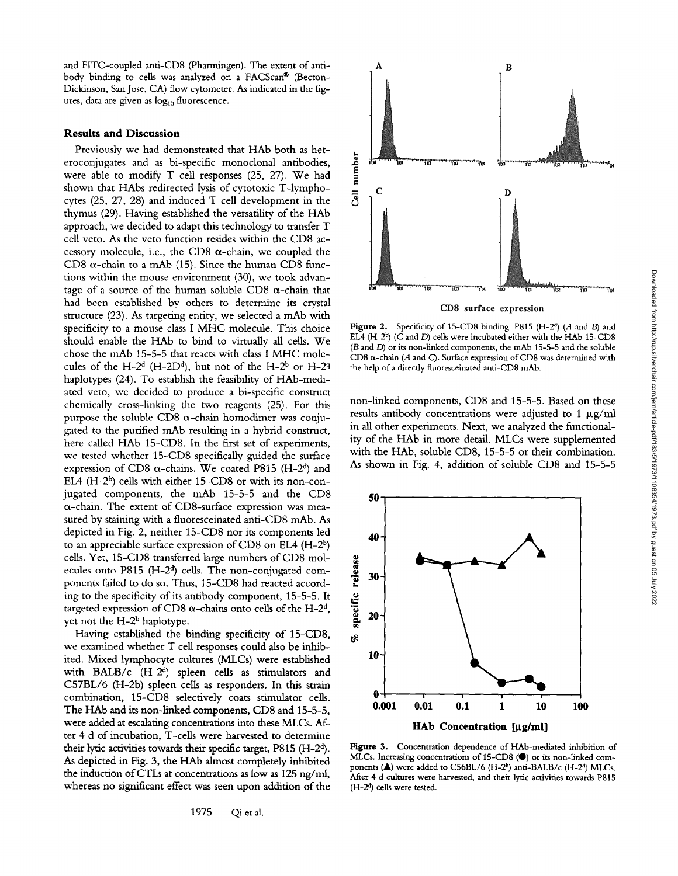and FITC-coupled anti-CD8 (Pharmingen). The extent of antibody binding to cells was analyzed on a FACScan® (Becton-Dickinson, San Jose, CA) flow cytometer. As indicated in the figures, data are given as  $log_{10}$  fluorescence.

# **Results and Discussion**

Previously we had demonstrated that HAb both as heteroconjugates and as bi-specific monoclonal antibodies, were able to modify T cell responses (25, 27). We had shown that HAbs redirected lysis of cytotoxic T-lymphocytes (25, 27, 28) and induced T cell development in the thymus (29). Having established the versatility of the HAb approach, we decided to adapt this technology to transfer T cell veto. As the veto function resides within the CD8 accessory molecule, i.e., the CD8  $\alpha$ -chain, we coupled the CD8  $\alpha$ -chain to a mAb (15). Since the human CD8 functions within the mouse environment (30), we took advantage of a source of the human soluble CD8  $\alpha$ -chain that had been established by others to determine its crystal structure (23). As targeting entity, we selected a mAb with specificity to a mouse class I MHC molecule. This choice should enable the HAb to bind to virtually all ceils. We chose the mAb 15-5-5 that reacts with class I MHC molecules of the H-2<sup>d</sup> (H-2D<sup>d</sup>), but not of the H-2<sup>b</sup> or H-2<sup>q</sup> haplotypes (24). To establish the feasibility of HAb-mediated veto, we decided to produce a bi-specific construct chemically cross-linking the two reagents (25). For this purpose the soluble CD8  $\alpha$ -chain homodimer was conjugated to the purified mAb resulting in a hybrid construct, here called HAb 15-CD8. In the first set of experiments, we tested whether 15-CD8 specifically guided the surface expression of CD8  $\alpha$ -chains. We coated P815 (H-2<sup>d</sup>) and EL4 (H-2 $^{\text{b}}$ ) cells with either 15-CD8 or with its non-conjugated components, the mAb 15-5-5 and the CD8  $\alpha$ -chain. The extent of CD8-surface expression was measured by staining with a fluoresceinated anti-CD8 mAb. As depicted in Fig. 2, neither 15-CD8 nor its components led to an appreciable surface expression of CD8 on EL4  $(H-2<sup>b</sup>)$ cells. Yet, 15-CD8 transferred large numbers of CD8 molecules onto P815 (H-2<sup>d</sup>) cells. The non-conjugated components failed to do so. Thus, 15-CD8 had reacted according to the specificity of its antibody component, 15-5-5. It targeted expression of CD8  $\alpha$ -chains onto cells of the H-2<sup>d</sup>, yet not the H-2<sup>b</sup> haplotype.

Having established the binding specificity of 15-CD8, we examined whether T cell responses could also be inhibited. Mixed lymphocyte cultures (MLCs) were established with  $BALB/c$  (H-2<sup>d</sup>) spleen cells as stimulators and C57BL/6 (H-2b) spleen cells as responders. In this strain combination, 15-CD8 selectively coats stimulator cells. The HAb and its non-linked components, CD8 and 15-5-5, were added at escalating concentrations into these MLCs. After 4 d of incubation, T-cells were harvested to determine their lytic activities towards their specific target, P815 (H-2<sup>d</sup>). As depicted in Fig. 3, the HAb almost completely inhibited the induction of CTLs at concentrations as low as 125 ng/ml, whereas no significant effect was seen upon addition of the



CD8 surface expression

Figure 2. Specificity of 15-CD8 binding. P815  $(H-2<sup>d</sup>)$  (A and B) and EL4  $(H-2^b)$  (C and D) cells were incubated either with the HAb 15-CD8 (B and D) or its non-linked components, the mAb 15-5-5 and the soluble CD8  $\alpha$ -chain (A and C). Surface expression of CD8 was determined with the help of a directly fluoresceinated anti-CD8 mAb.

non-linked components, CD8 and 15-5-5. Based on these results antibody concentrations were adjusted to 1  $\mu$ g/ml in all other experiments. Next, we analyzed the functionality of the HAb in more detail. MLCs were supplemented with the HAb, soluble CD8, 15-5-5 or their combination. As shown in Fig. 4, addition of soluble CD8 and 15-5-5



Figure 3. Concentration dependence of HAb-mediated inhibition of MLCs. Increasing concentrations of 15-CD8 ( $\bullet$ ) or its non-linked components ( $\blacktriangle$ ) were added to C56BL/6 (H-2<sup>b</sup>) anti-BALB/c (H-2<sup>d</sup>) MLCs. After 4 d cultures were harvested, and their lytic activities towards P815  $(H-2<sup>d</sup>)$  cells were tested.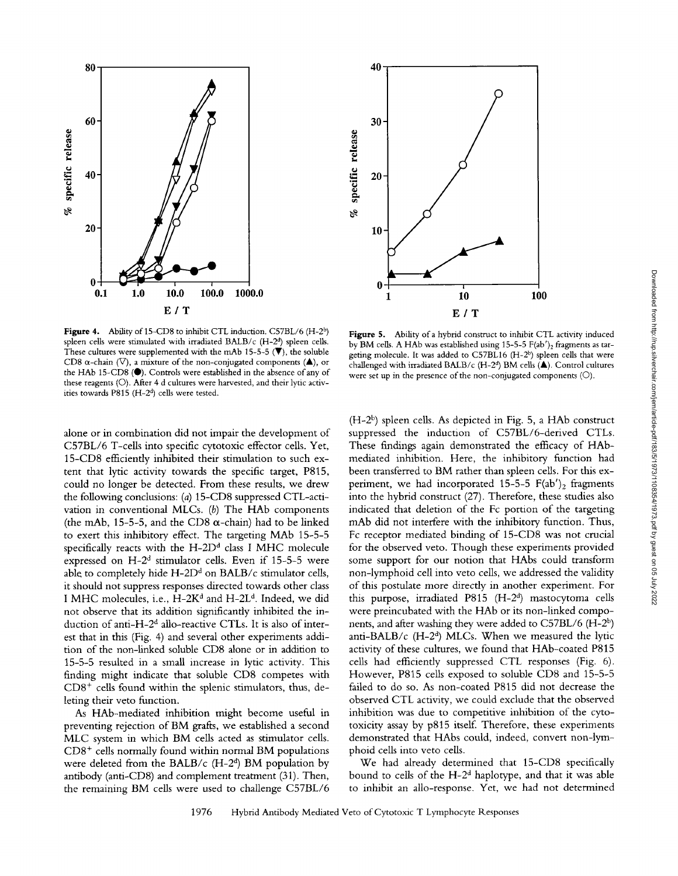

Figure 4. Ability of 15-CD8 to inhibit CTL induction. C57BL/6 (H-2<sup>b</sup>) spleen cells were stimulated with irradiated BALB/c  $(H-2<sup>d</sup>)$  spleen cells. These cultures were supplemented with the mAb 15-5-5  $(\overline{\mathbf{V}})$ , the soluble CD8  $\alpha$ -chain ( $\nabla$ ), a mixture of the non-conjugated components ( $\blacktriangle$ ), or the HAb 15-CD8 (.). Controls were established in the absence of any of these reagents (O). After 4 d cultures were harvested, and their lytic activities towards P815 ( $H-2<sup>d</sup>$ ) cells were tested.

alone or in combination did not impair the development of C57BL/6 T-cells into specific cytotoxic effector cells. Yet, 15-CD8 efficiently inhibited their stimulation to such extent that lytic activity towards the specific target, P815, could no longer be detected. From these results, we drew the following conclusions: (a) 15-CD8 suppressed CTL-activation in conventional MLCs.  $(b)$  The HAb components (the mAb, 15-5-5, and the CD8  $\alpha$ -chain) had to be linked to exert this inhibitory effect. The targeting MAb 15-5-5 specifically reacts with the H-2D<sup>d</sup> class I MHC molecule expressed on  $H-2<sup>d</sup>$  stimulator cells. Even if 15-5-5 were able to completely hide H-2D<sup>d</sup> on BALB/c stimulator cells, it should not suppress responses directed towards other class I MHC molecules, i.e., H-2K<sup>d</sup> and H-2L<sup>d</sup>. Indeed, we did not observe that its addition significantly inhibited the induction of anti-H-2<sup>d</sup> allo-reactive CTLs. It is also of interest that in this (Fig. 4) and several other experiments addition of the non-linked soluble CD8 alone or in addition to 15-5-5 resuked in a small increase in lytic activity. This finding might indicate that soluble CD8 competes with  $CD8<sup>+</sup>$  cells found within the splenic stimulators, thus, deleting their veto function.

As HAb-mediated inhibition might become useful in preventing rejection of BM grafts, we established a second MLC system in which BM cells acted as stimulator cells.  $CD8<sup>+</sup>$  cells normally found within normal BM populations were deleted from the BALB/c (H-2<sup>d</sup>) BM population by antibody (anti-CD8) and complement treatment (31). Then, the remaining BM cells were used to challenge C57BL/6



Figure 5. Ability of a hybrid construct to inhibit CTL activity induced by BM cells. A HAb was established using  $15-5-5$  F(ab')<sub>2</sub> fragments as targeting molecule. It was added to  $C57BL16$   $(H-2<sup>b</sup>)$  spleen cells that were challenged with irradiated BALB/c (H-2<sup>d</sup>) BM cells  $(A)$ . Control cultures were set up in the presence of the non-conjugated components (C)).

 $(H-2<sup>b</sup>)$  spleen cells. As depicted in Fig. 5, a HAb construct suppressed the induction of C57BL/6-derived CTLs. These findings again demonstrated the efficacy of HAbmediated inhibition. Here, the inhibitory function had been transferred to BM rather than spleen cells. For this experiment, we had incorporated 15-5-5  $F(ab')_2$  fragments into the hybrid construct (27). Therefore, these studies also indicated that deletion of the Fc portion of the targeting mAb did not interfere with the inhibitory function. Thus, Fc receptor mediated binding of 15-CD8 was not crucial for the observed veto. Though these experiments provided some support for our notion that HAbs could transform non-lymphoid cell into veto cells, we addressed the validity of this postulate more directly in another experiment. For this purpose, irradiated  $P815$   $(H-2<sup>d</sup>)$  mastocytoma cells were preincubated with the HAb or its non-linked components, and after washing they were added to C57BL/6 (H-26) anti-BALB/ $c$  (H-2<sup>d</sup>) MLCs. When we measured the lytic activity of these cultures, we found that HAb-coated P815 cells had efficiently suppressed CTL responses (Fig. 6). However, P815 cells exposed to soluble CD8 and 15-5-5 failed to do so. As non-coated P815 did not decrease the observed CTL activity, we could exclude that the observed inhibition was due to competitive inhibition of the cytotoxicity assay by p815 itself. Therefore, these experiments demonstrated that HAbs could, indeed, convert non-lymphoid cells into veto cells.

We had already determined that 15-CD8 specifically bound to cells of the  $H-2<sup>d</sup>$  haplotype, and that it was able to inhibit an allo-response. Yet, we had not determined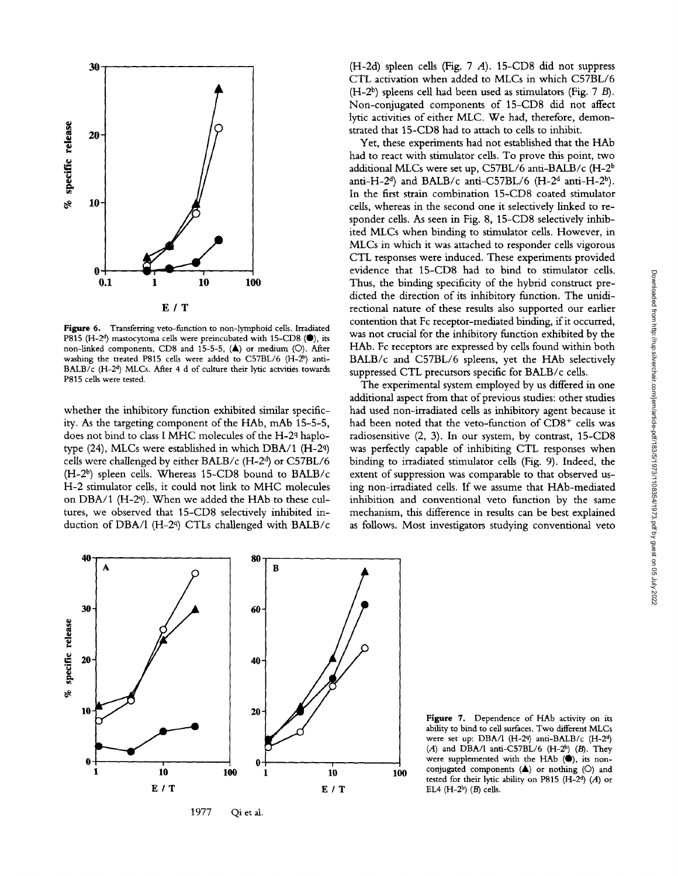

Figure 6. Transferring veto-function to non-lymphoid cells. Irradiated P815 (H-2<sup>d</sup>) mastocytoma cells were preincubated with 15-CD8 ( $\bullet$ ), its non-linked components, CD8 and 15-5-5, (A) or medium (O). After washing the treated P815 cells were added to  $C57BL/6$   $(H-2^b)$  anti-BALB/c (H-2<sup>d</sup>) MLCs. After 4 d of culture their lytic actvities towards P815 cells were tested.

whether the inhibitory function exhibited similar specificity. As the targeting component of the HAb, m\_Ab 15-5-5, does not bind to class I MHC molecules of the H-2q haplotype (24), MLCs were established in which DBA/1 (H-2q) cells were challenged by either BALB/c  $(H-2<sup>d</sup>)$  or C57BL/6 (H-2<sup>b</sup>) spleen cells. Whereas 15-CD8 bound to BALB/c H-2 stimulator cells, it could not link to MHC molecules on DBA/1 (H-2<sup>q</sup>). When we added the HAb to these cultures, we observed that 15-CD8 selectively inhibited induction of DBA/1 (H-2<sup>q</sup>) CTLs challenged with BALB/c

(H-2d) spleen cells (Fig. 7 A). 15-CD8 did not suppress CTL activation when added to MLCs in which C57BL/6  $(H-2<sup>b</sup>)$  spleens cell had been used as stimulators (Fig. 7 B). Non-conjugated components of 15-CD8 did not affect lyric activities of either MLC. We had, therefore, demonstrated that 15-CD8 had to attach to cells to inhibit.

Yet, these experiments had not established that the HAb had to react with stimulator cells. To prove this point, two additional MLCs were set up, C57BL/6 anti-BALB/c (H-2<sup>b</sup> anti-H-2<sup>d</sup>) and BALB/c anti-C57BL/6 (H-2<sup>d</sup> anti-H-2<sup>b</sup>). In the first strain combination 15-CD8 coated stimulator cells, whereas in the second one it selectively linked to responder cells. As seen in Fig. 8, 15-CD8 selectively inhibited MLCs when binding to stimulator cells. However, in MLCs in which it was attached to responder cells vigorous CTL responses were induced. These experiments provided evidence that 15-CD8 had to bind to stimulator cells. Thus, the binding specificity of the hybrid construct predicted the direction of its inhibitory function. The unidirectional nature of these results also supported our earlier contention that Fc receptor-mediated binding, if it occurred, was not crucial for the inhibitory function exhibited by the HAb. Fc receptors are expressed by cells found within both BALB/c and C57BL/6 spleens, yet the HAb selectively suppressed CTL precursors specific for BALB/c cells.

The experimental system employed by us differed in one additional aspect from that of previous studies: other studies had used non-irradiated cells as inhibitory agent because it had been noted that the veto-function of  $CD8<sup>+</sup>$  cells was radiosensitive (2, 3). In our system, by contrast, 15-CD8 was perfectly capable of inhibiting CTL responses when binding to irradiated stimulator cells (Fig. 9). Indeed, the extent of suppression was comparable to that observed using non-irradiated cells. If we assume that HAb-mediated inhibition and conventional veto function by the same mechanism, this difference in results can be best explained as follows. Most investigators studying conventional veto



1977 Qi et al.

**Figure** 7. Dependence of HAb activity on its ability to bind to cell surfaces. Two different MLCs were set up: DBA/l (H-29) anti-BALB/c (H-2<sup>d</sup>)  $(A)$  and DBA/l anti-C57BL/6 (H-2<sup>b</sup>) (B). They were supplemented with the HAb (.), its nonconjugated components  $(A)$  or nothing  $(O)$  and tested for their lytic ability on P815 (H-2<sup>d</sup>) (A) or EL4  $(H-2^b)$   $(B)$  cells.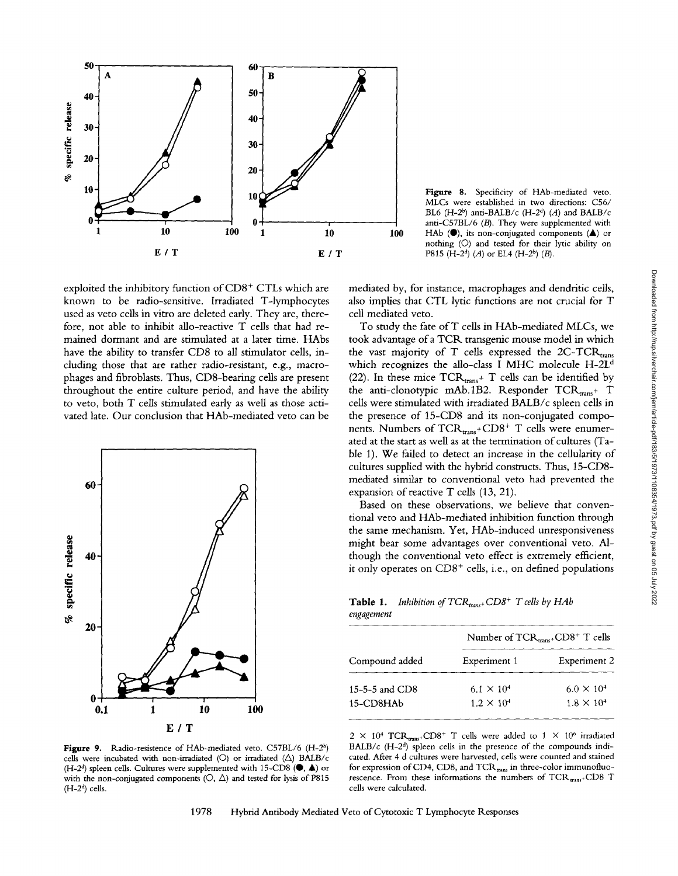

exploited the inhibitory function of  $CD8<sup>+</sup> CTLs$  which are known to be radio-sensitive. Irradiated T-lymphocytes used as veto cells in vitro are deleted early. They are, therefore, not able to inhibit allo-reactive T cells that had remained dormant and are stimulated at a later time. HAbs have the ability to transfer CD8 to all stimulator cells, including those that are rather radio-resistant, e.g., macrophages and fibroblasts. Thus, CDS-bearing cells are present throughout the entire culture period, and have the ability to veto, both T cells stimulated early as well as those activated late. Our conclusion that HAb-mediated veto can be



Figure 9. Radio-resistence of HAb-mediated veto. C57BL/6 (H-2<sup>b</sup>) cells were incubated with non-irradiated ( $\bigcirc$ ) or irradiated ( $\bigtriangleup$ ) BALB/c (H-2<sup>d</sup>) spleen cells. Cultures were supplemented with 15-CD8 ( $\blacklozenge$ ,  $\blacktriangle$ ) or with the non-conjugated components ( $\circ$ ,  $\triangle$ ) and tested for lysis of P815  $(H-2<sup>d</sup>)$  cells.

Figure 8. Specificity of HAb-mediated veto. MLCs were established in two directions: C56/ BL6 (H-2<sup>b</sup>) anti-BALB/c (H-2<sup>d</sup>) (A) and BALB/c anti-C57BL/6 (B). They were supplemented with HAb  $($ <sup>o</sup>), its non-conjugated components  $($ <sup> $\blacktriangle)$ </sup> or nothing (C)) and tested for their lytic ability on P815 (H-2<sup>d</sup>) (A) or EL4 (H-2<sup>b</sup>) (B).

mediated by, for instance, macrophages and dendritic cells, also implies that CTL lytic functions are not crucial for T cell mediated veto.

To study the fate of T cells in HAb-mediated MLCs, we took advantage of a TCR transgenic mouse model in which the vast majority of T cells expressed the  $2C-TCR_{\text{trans}}$ which recognizes the allo-class I MHC molecule  $H-2L<sup>d</sup>$ (22). In these mice  $TCR_{trans}$ + T cells can be identified by the anti-clonotypic mAb.1B2. Responder  $TCR_{trans}$ + T cells were stimulated with irradiated BALB/c spleen cells in the presence of 15-CD8 and its non-conjugated components. Numbers of  $TCR_{trans}$ + $CD8$ <sup>+</sup> T cells were enumerated at the start as well as at the termination of cultures (Table 1). We failed to detect an increase in the cellularity of cultures supplied with the hybrid constructs. Thus, 15-CD8 mediated similar to conventional veto had prevented the expansion of reactive T cells (13, 21).

Based on these observations, we believe that conventional veto and HAb-mediated inhibition function through the same mechanism. Yet, HAb-induced unresponsiveness might bear some advantages over conventional veto. Although the conventional veto effect is extremely efficient, it only operates on  $CD8<sup>+</sup>$  cells, i.e., on defined populations

Table 1. *Inhibition of TCR*<sub>trans+</sub> CD8<sup>+</sup> T cells by HAb *engagement* 

| Compound added   | Number of $TCR_{trans}$ + $CD8$ <sup>+</sup> T cells |                     |
|------------------|------------------------------------------------------|---------------------|
|                  | Experiment 1                                         | <b>Experiment 2</b> |
| 15-5-5 and $CD8$ | $6.1 \times 10^{4}$                                  | $6.0 \times 10^{4}$ |
| 15-CD8HAb        | $1.2 \times 10^{4}$                                  | $1.8 \times 10^{4}$ |

 $2 \times 10^4$  TCR<sub>trans</sub>+CD8<sup>+</sup> T cells were added to 1  $\times$  10<sup>6</sup> irradiated BALB/c (H-2<sup>d</sup>) spleen cells in the presence of the compounds indicated. After 4 d cultures were harvested, cells were counted and stained for expression of CD4, CD8, and  $TCR_{trans}$  in three-color immunofluorescence. From these informations the numbers of  $TCR_{trans}$ + $CD8$  T cells were calculated.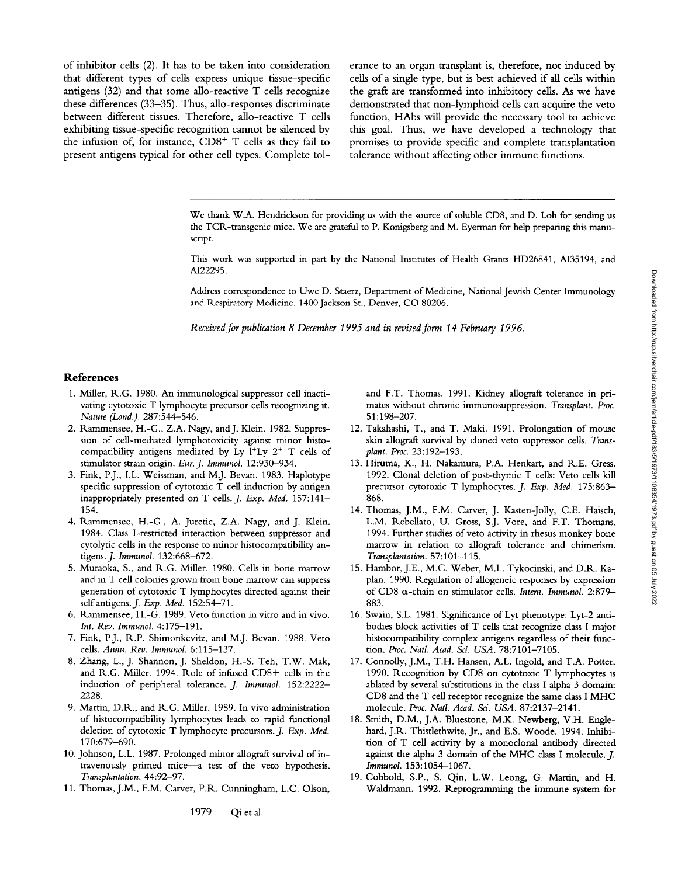of inhibitor cells (2). It has to be taken into consideration that different types of cells express unique tissue-specific antigens (32) and that some allo-reactive T cells recognize these differences (33-35). Thus, allo-responses discriminate between different tissues. Therefore, allo-reactive T cells exhibiting tissue-specific recognition cannot be silenced by the infusion of, for instance,  $CD8<sup>+</sup>$  T cells as they fail to present antigens typical for other cell types. Complete tolerance to an organ transplant is, therefore, not induced by cells of a single type, but is best achieved if all cells within the graft are transformed into inhibitory cells. As we have demonstrated that non-lymphoid cells can acquire the veto function, HAbs will provide the necessary tool to achieve this goal. Thus, we have developed a technology that promises to provide specific and complete transplantation tolerance without affecting other immune functions.

We thank W.A. Hendrickson for providing us with the source of soluble CD8, and D. Loh for sending us the TCR.-transgenic mice. We are grateful to P. Konigsberg and M. Eyerman for help preparing this manuscript.

This work was supported in part by the National Institutes of Health Grants HD26841, AI35194, and AI22295.

Address correspondence to Uwe D. Staerz, Department of Medicine, National Jewish Center Immunology and Respiratory Medicine, 1400 Jackson St., Denver, CO 80206.

*Received for publication 8 December 1995 and in revised form 14 February 1996.* 

### **References**

- 1. Miller, R.G. 1980. An immunological suppressor cell inactivating cytotoxic T lymphocyte precursor cells recognizing it. *Nature (Lond.).* 287:544-546.
- 2. Rammensee, H.-G., Z.A. Nagy, and J. Klein. 1982. Suppression of cell-mediated lymphotoxicity against minor histocompatibility antigens mediated by Ly  $l^+Ly$   $2^+$  T cells of stimulator strain origin. *Eur. J. Immunol.* 12:930-934.
- 3. Fink, P.J., I.L. Weissman, and M.J. Bevan. 1983. Haplotype specific suppression of cytotoxic T cell induction by antigen inappropriately presented on T cells. *J. Exp. Med.* 157:141- 154.
- 4. Rammensee, H.-G., A. Juretic, Z.A. Nagy, and J. Klein. 1984. Class I-restricted interaction between suppressor and cytolytic cells in the response to minor histocompatibility antigens.J. *Immunol.* 132:668-672.
- 5. Muraoka, S., and R.G. Miller. 1980. Cells in bone marrow and in T cell colonies grown from bone marrow can suppress generation of cytotoxic T lymphocytes directed against their selfantigens.J. *Exp. Med.* 152:54-71.
- 6. Rammensee, H.-G. 1989. Veto function in vitro and in vivo. *Int. Rev. Immunol.* 4:175-191.
- 7. Fink, P.J., R.P. Shimonkevitz, and M.J. Bevan. 1988. Veto cells. *Annu. Rev. Immunol.* 6:115-137.
- 8. Zhang, L., J. Shannon, J. Sheldon, H.-S. Teh, T.W. Mak, and R..G. Miller. 1994. Role of infused CD8+ cells in the induction of peripheral tolerance. *J. Immunol.* 152:2222- 2228.
- 9. Martin, D.R.., and R..G. Miller. 1989. In vivo administration of histocompatibility lymphocytes leads to rapid functional deletion of cytotoxic T lymphocyte precursors. *J. Exp. Med.*  170:679-690.
- 10. Johnson, L.L. 1987. Prolonged minor allograft survival of intravenously primed mice---a test of the veto hypothesis. *Transplantation.* 44:92-97.
- 11. Thomas, J.M., F.M. Carver, P.R. Cunningham, L.C. Olson,

and F.T. Thomas. 1991. Kidney allograft tolerance in primates without chronic immunosuppression. *Transplant. Proc.*  51:198-207.

- 12. Takahashi, T., and T. Maki. 1991. Prolongation of mouse skin allograft survival by cloned veto suppressor cells. *Transplant. Proc.* 23:192-193.
- 13. Hiruma, K., H. Nakamura, P.A. Henkart, and R.E. Gress. 1992. Clonal deletion of post-thymic T cells: Veto cells kill precursor cytotoxic T lymphocytes. *J. Exp. Med.* 175:863- 868.
- 14. Thomas, J.M., F.M. Carver, J. Kasten-Jolly, C.E. Haisch, L.M. Rebellato, U. Gross, S.J. Vore, and F.T. Thomans. 1994. Further studies of veto activity in rhesus monkey bone marrow in relation to allograft tolerance and chimerism. *Transplantation.* 57:101-115.
- 15. Hambor, J.E., M.C. Weber, M.L. Tykocinski, and D.R. Kaplan. 1990. Regulation of allogeneic responses by expression of CD8 α-chain on stimulator cells. *Intern. Immunol.* 2:879-883.
- 16. Swain, S.L. 1981. Significance of Lyt phenotype: Lyt-2 antibodies block activities of T cells that recognize class I major histocompatibility complex antigens regardless of their function. *Proc. Natl. Acad. Sci. USA.* 78:7101-7105.
- 17. Connolly, J.M., T.H. Hansen, A.L. Ingold, and T.A. Potter. 1990. Recognition by CD8 on cytotoxic T lymphocytes is ablated by several substitutions in the class I alpha 3 domain: CD8 and the T cell receptor recognize the same class I MHC molecule. *Proc. Natl. Acad. Sci. USA.* 87:2137-2141.
- 18. Smith, D.M., J.A. Bluestone, M.K. Newberg, V.H. Englehard, J.R. Thistlethwite, Jr., and E.S. Woode. 1994. Inhibition of T cell activity by a monoclonal antibody directed against the alpha 3 domain of the MHC class I molecule. J. *Immunol.* 153:1054-1067.
- 19. Cobbold, S.P., S. Qin, L.W. Leong, G. Martin, and H. Waldmann. 1992. Reprogramming the immune system for